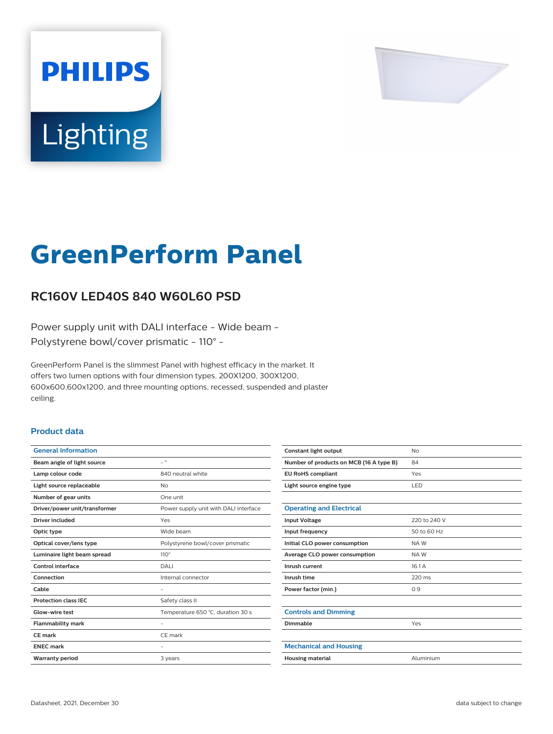

# Lighting

**PHILIPS** 

## **GreenPerform Panel**

### **RC160V LED40S 840 W60L60 PSD**

Power supply unit with DALI interface - Wide beam - Polystyrene bowl/cover prismatic - 110° -

GreenPerform Panel is the slimmest Panel with highest efficacy in the market. It offers two lumen options with four dimension types, 200X1200, 300X1200, 600x600,600x1200, and three mounting options, recessed, suspended and plaster ceiling.

#### **Product data**

| <b>General Information</b>    |                                       |
|-------------------------------|---------------------------------------|
| Beam angle of light source    | $= 0$                                 |
| Lamp colour code              | 840 neutral white                     |
| Light source replaceable      | No                                    |
| Number of gear units          | One unit                              |
| Driver/power unit/transformer | Power supply unit with DALI interface |
| Driver included               | Yes                                   |
| Optic type                    | Wide beam                             |
| Optical cover/lens type       | Polystyrene bowl/cover prismatic      |
| Luminaire light beam spread   | $110^\circ$                           |
| Control interface             | DALI                                  |
| Connection                    | Internal connector                    |
| Cable                         |                                       |
| <b>Protection class IEC</b>   | Safety class II                       |
| Glow-wire test                | Temperature 650 °C, duration 30 s     |
| <b>Flammability mark</b>      |                                       |
| CE mark                       | CE mark                               |
| <b>ENEC mark</b>              |                                       |
| <b>Warranty period</b>        | 3 years                               |
|                               |                                       |

| No           |
|--------------|
| 84           |
| Yes          |
| LED          |
|              |
|              |
| 220 to 240 V |
| 50 to 60 Hz  |
| NAW          |
| NAW          |
| 16.1A        |
| 220 ms       |
| 0.9          |
|              |
|              |
| Yes          |
|              |
|              |
| Aluminium    |
|              |